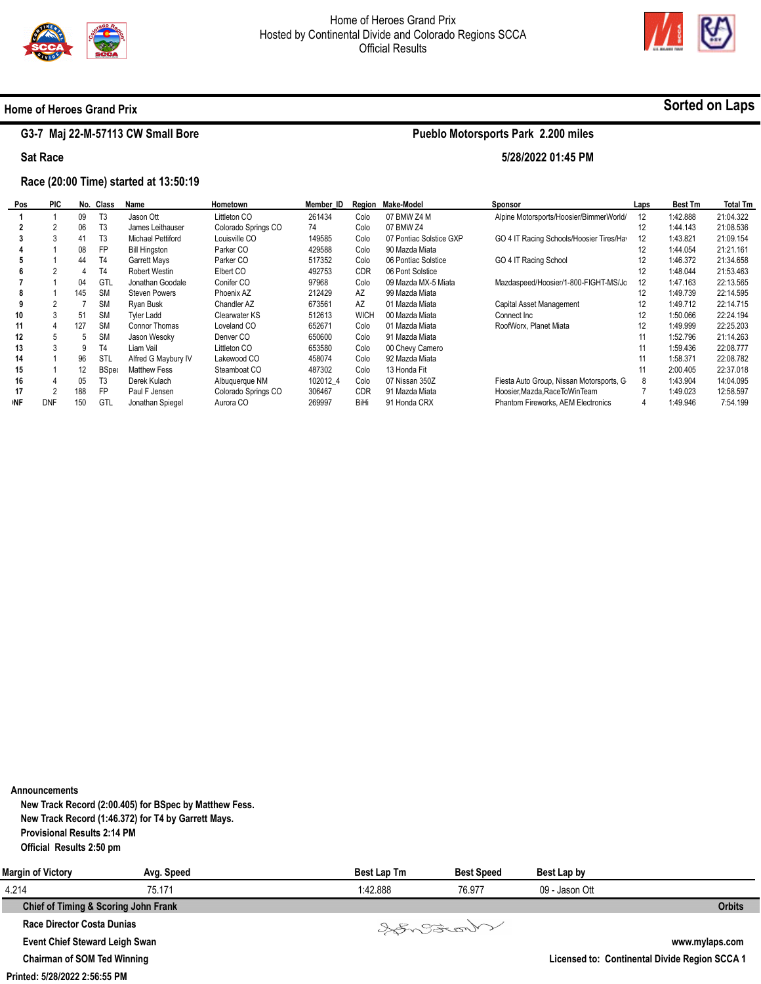



#### **Home of Heroes Grand Prix**

## **G3-7 Maj 22-M-57113 CW Small Bore**

#### **Pueblo Motorsports Park 2.200 miles**

**5/28/2022 01:45 PM** 

## **Sat Race**

j.

#### **Race (20:00 Time) started at 13:50:19**

| Pos        | <b>PIC</b> |     | No. Class      | Name                     | Hometown             | Member ID |             | Region Make-Model       | <b>Sponsor</b>                            | Laps | <b>Best Tm</b> | <b>Total Tm</b> |
|------------|------------|-----|----------------|--------------------------|----------------------|-----------|-------------|-------------------------|-------------------------------------------|------|----------------|-----------------|
|            |            | 09  | T3             | Jason Ott                | Littleton CO         | 261434    | Colo        | 07 BMW Z4 M             | Alpine Motorsports/Hoosier/BimmerWorld/   | 12   | 1:42.888       | 21:04.322       |
|            |            | 06  | T3             | James Leithauser         | Colorado Springs CO  | 74        | Colo        | 07 BMW Z4               |                                           | 12   | 1:44.143       | 21:08.536       |
|            |            | 41  | T3             | <b>Michael Pettiford</b> | Louisville CO        | 149585    | Colo        | 07 Pontiac Solstice GXP | GO 4 IT Racing Schools/Hoosier Tires/Hay  | 12   | 1:43.821       | 21:09.154       |
|            |            | 08  | <b>FP</b>      | <b>Bill Hingston</b>     | Parker CO            | 429588    | Colo        | 90 Mazda Miata          |                                           | 12   | 1:44.054       | 21:21.161       |
|            |            | 44  | T <sub>4</sub> | <b>Garrett Mays</b>      | Parker CO            | 517352    | Colo        | 06 Pontiac Solstice     | GO 4 IT Racing School                     | 12   | 1:46.372       | 21:34.658       |
|            |            |     | T <sub>4</sub> | Robert Westin            | Elbert CO            | 492753    | <b>CDR</b>  | 06 Pont Solstice        |                                           | 12   | 1:48.044       | 21:53.463       |
|            |            | 04  | GTL            | Jonathan Goodale         | Conifer CO           | 97968     | Colo        | 09 Mazda MX-5 Miata     | Mazdaspeed/Hoosier/1-800-FIGHT-MS/Jo      | 12   | 1:47.163       | 22:13.565       |
|            |            | 145 | <b>SM</b>      | <b>Steven Powers</b>     | Phoenix AZ           | 212429    | AZ          | 99 Mazda Miata          |                                           | 12   | 1:49.739       | 22:14.595       |
|            |            |     | <b>SM</b>      | Ryan Busk                | Chandler AZ          | 673561    | AZ          | 01 Mazda Miata          | Capital Asset Management                  | 12   | 1:49.712       | 22:14.715       |
| 10         |            | 51  | <b>SM</b>      | <b>Tyler Ladd</b>        | Clearwater KS        | 512613    | <b>WICH</b> | 00 Mazda Miata          | Connect Inc.                              | 12   | 1:50.066       | 22:24.194       |
| 11         |            | 127 | <b>SM</b>      | Connor Thomas            | Loveland CO          | 652671    | Colo        | 01 Mazda Miata          | RoofWorx, Planet Miata                    | 12   | 1:49.999       | 22:25.203       |
| 12         | b          | 5   | <b>SM</b>      | Jason Wesoky             | Denver <sub>CO</sub> | 650600    | Colo        | 91 Mazda Miata          |                                           |      | 1:52.796       | 21:14.263       |
| 13         |            | 9   | T4             | Liam Vail                | Littleton CO         | 653580    | Colo        | 00 Chevy Camero         |                                           | 11   | 1:59.436       | 22:08.777       |
| 14         |            | 96  | STL            | Alfred G Maybury IV      | Lakewood CO          | 458074    | Colo        | 92 Mazda Miata          |                                           | 11   | 1:58.371       | 22:08.782       |
| 15         |            | 12  | <b>B</b> Spec  | <b>Matthew Fess</b>      | Steamboat CO         | 487302    | Colo        | 13 Honda Fit            |                                           | 11   | 2:00.405       | 22:37.018       |
| 16         | 4          | 05  | T3             | Derek Kulach             | Albuquerque NM       | 102012 4  | Colo        | 07 Nissan 350Z          | Fiesta Auto Group, Nissan Motorsports, G  | 8    | 1:43.904       | 14:04.095       |
| 17         | 2          | 188 | <b>FP</b>      | Paul F Jensen            | Colorado Springs CO  | 306467    | <b>CDR</b>  | 91 Mazda Miata          | Hoosier, Mazda, Race To Win Team          |      | 1:49.023       | 12:58.597       |
| <b>INF</b> | <b>DNF</b> | 150 | GTL            | Jonathan Spiegel         | Aurora CO            | 269997    | <b>BiHi</b> | 91 Honda CRX            | <b>Phantom Fireworks, AEM Electronics</b> |      | 1:49.946       | 7:54.199        |

**Announcements** 

**New Track Record (2:00.405) for BSpec by Matthew Fess. New Track Record (1:46.372) for T4 by Garrett Mays. Provisional Results 2:14 PM Official Results 2:50 pm** 

| <b>Margin of Victory</b>              | Avg. Speed | Best Lap Tm | <b>Best Speed</b> | Best Lap by    |                                               |
|---------------------------------------|------------|-------------|-------------------|----------------|-----------------------------------------------|
| 4.214                                 | 75.171     | 1:42.888    | 76.977            | 09 - Jason Ott |                                               |
| Chief of Timing & Scoring John Frank  |            |             |                   |                | <b>Orbits</b>                                 |
| Race Director Costa Dunias            |            |             | Waschild          |                |                                               |
| <b>Event Chief Steward Leigh Swan</b> |            |             |                   |                | www.mylaps.com                                |
| <b>Chairman of SOM Ted Winning</b>    |            |             |                   |                | Licensed to: Continental Divide Region SCCA 1 |

**Licensed to: Continental Divide Region SCCA 1**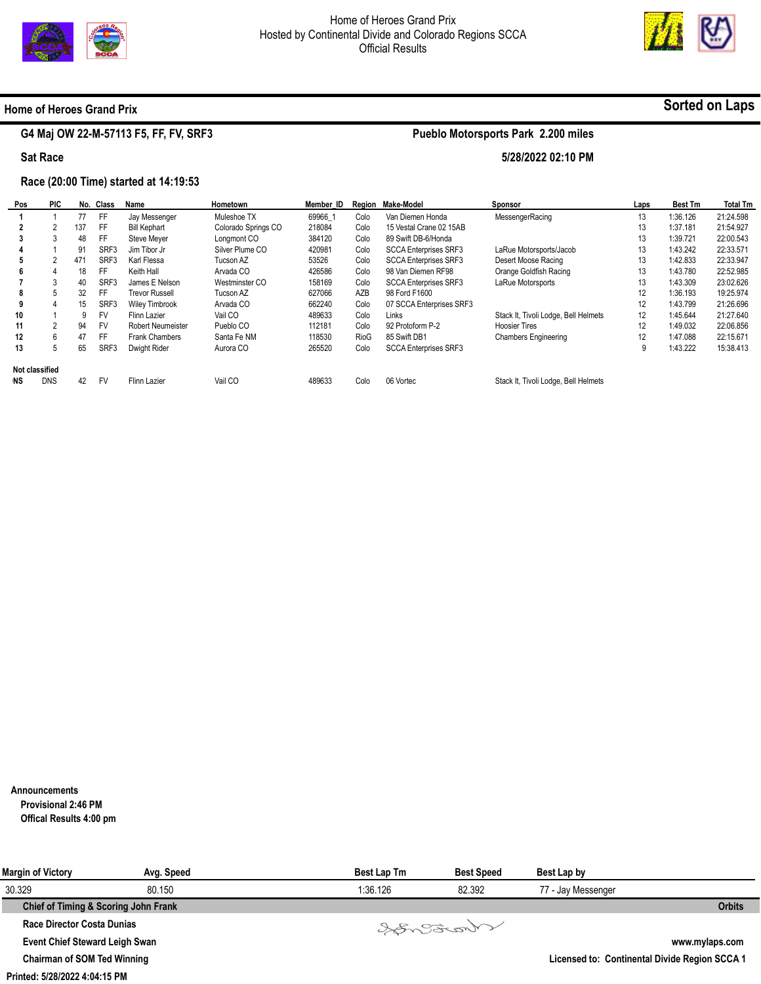



#### **Home of Heroes Grand Prix**

## **G4 Maj OW 22-M-57113 F5, FF, FV, SRF3**

# **Pueblo Motorsports Park 2.200 miles**

**5/28/2022 02:10 PM** 

### **Sat Race**

 $\overline{\phantom{a}}$ 

#### **Race (20:00 Time) started at 14:19:53**

| Pos            | <b>PIC</b> |     | No. Class | Name                  | Hometown            | Member ID |             | Region Make-Model            | <b>Sponsor</b>                       | Laps | <b>Best Tm</b> | <b>Total Tm</b> |
|----------------|------------|-----|-----------|-----------------------|---------------------|-----------|-------------|------------------------------|--------------------------------------|------|----------------|-----------------|
|                |            | 77  | <b>FF</b> | Jay Messenger         | Muleshoe TX         | 69966 1   | Colo        | Van Diemen Honda             | MessengerRacing                      | 13   | 1:36.126       | 21:24.598       |
| $\mathbf{2}$   |            | 137 | FF        | <b>Bill Kephart</b>   | Colorado Springs CO | 218084    | Colo        | 15 Vestal Crane 02 15AB      |                                      | 13   | 1:37.181       | 21:54.927       |
| 3              |            | 48  | FF        | Steve Mever           | Lonamont CO         | 384120    | Colo        | 89 Swift DB-6/Honda          |                                      | 13   | 1:39.721       | 22:00.543       |
| 4              |            | 91  | SRF3      | Jim Tibor Jr          | Silver Plume CO     | 420981    | Colo        | <b>SCCA Enterprises SRF3</b> | LaRue Motorsports/Jacob              | 13   | 1:43.242       | 22:33.571       |
| 5              | 2          | 471 | SRF3      | Karl Flessa           | Tucson AZ           | 53526     | Colo        | <b>SCCA Enterprises SRF3</b> | Desert Moose Racing                  | 13   | 1:42.833       | 22:33.947       |
| 6              |            | 18  | FF        | Keith Hall            | Arvada CO           | 426586    | Colo        | 98 Van Diemen RF98           | Orange Goldfish Racing               | 13   | 1:43.780       | 22:52.985       |
|                | 3          | 40  | SRF3      | James E Nelson        | Westminster CO      | 158169    | Colo        | <b>SCCA Enterprises SRF3</b> | LaRue Motorsports                    | 13   | 1:43.309       | 23:02.626       |
| 8              | b          | 32  | FF        | <b>Trevor Russell</b> | Tucson AZ           | 627066    | AZB         | 98 Ford F1600                |                                      | 12   | 1:36.193       | 19:25.974       |
| 9              | 4          | 15  | SRF3      | <b>Wiley Timbrook</b> | Arvada CO           | 662240    | Colo        | 07 SCCA Enterprises SRF3     |                                      | 12   | 1:43.799       | 21:26.696       |
| 10             |            | 9   | FV        | Flinn Lazier          | Vail CO             | 489633    | Colo        | Links                        | Stack It, Tivoli Lodge, Bell Helmets | 12   | 1:45.644       | 21:27.640       |
| 11             | 2          | 94  | FV        | Robert Neumeister     | Pueblo CO           | 112181    | Colo        | 92 Protoform P-2             | <b>Hoosier Tires</b>                 | 12   | 1:49.032       | 22:06.856       |
| 12             | 6          | 47  | FF        | Frank Chambers        | Santa Fe NM         | 118530    | <b>RioG</b> | 85 Swift DB1                 | <b>Chambers Engineering</b>          | 12   | 1:47.088       | 22:15.671       |
| 13             | 5          | 65  | SRF3      | Dwight Rider          | Aurora CO           | 265520    | Colo        | <b>SCCA Enterprises SRF3</b> |                                      | g    | 1:43.222       | 15:38.413       |
| Not classified |            |     |           |                       |                     |           |             |                              |                                      |      |                |                 |
| NS             | <b>DNS</b> | 42  | <b>FV</b> | Flinn Lazier          | Vail CO             | 489633    | Colo        | 06 Vortec                    | Stack It, Tivoli Lodge, Bell Helmets |      |                |                 |

**Announcements** 

**Provisional 2:46 PM** 

**Offical Results 4:00 pm** 

| Margin of Victory                     | Avg. Speed | <b>Best Lap Tm</b> | <b>Best Speed</b> | Best Lap by                                   |                |
|---------------------------------------|------------|--------------------|-------------------|-----------------------------------------------|----------------|
| 30.329                                | 80.150     | 1:36.126           | 82.392            | 77 - Jay Messenger                            |                |
| Chief of Timing & Scoring John Frank  |            |                    |                   |                                               | <b>Orbits</b>  |
| Race Director Costa Dunias            |            |                    | Waschel           |                                               |                |
| <b>Event Chief Steward Leigh Swan</b> |            |                    |                   |                                               | www.mylaps.com |
| <b>Chairman of SOM Ted Winning</b>    |            |                    |                   | Licensed to: Continental Divide Region SCCA 1 |                |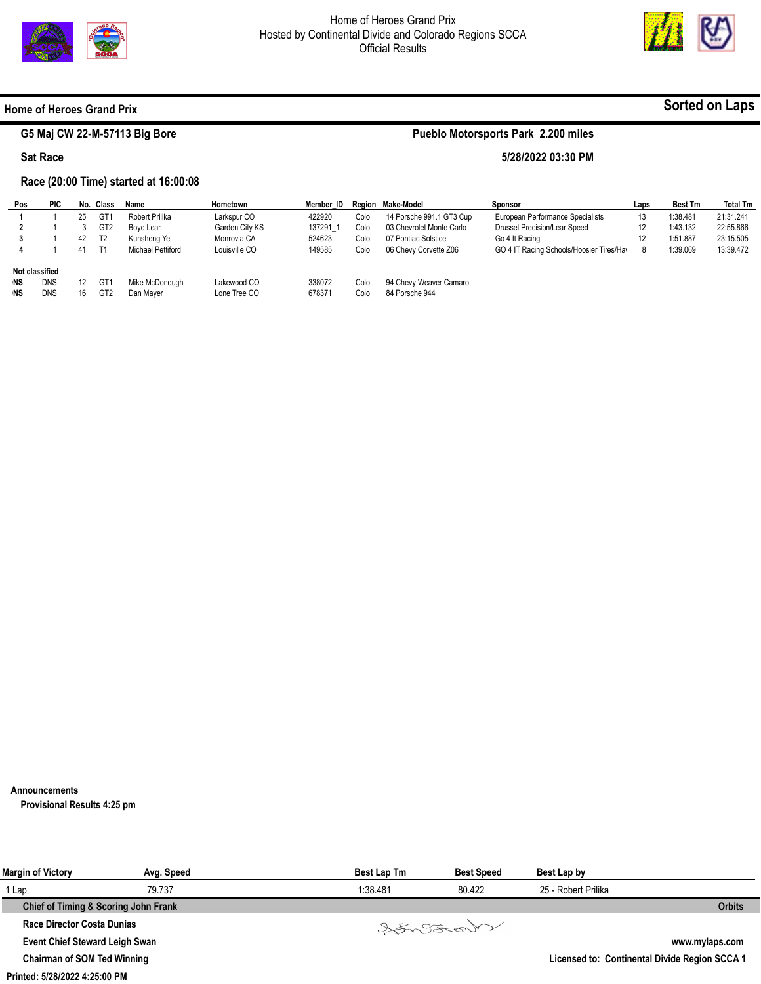



#### **Home of Heroes Grand Prix**

**Sat Race** 

## **G5 Maj CW 22-M-57113 Big Bore**

## **Pueblo Motorsports Park 2.200 miles**

#### **5/28/2022 03:30 PM**

**Race (20:00 Time) started at 16:00:08** 

| Pos                                      | <b>PIC</b>               | No. | Class                  | Name                        | Hometown                    | Member ID        |              | Region Make-Model                        | <b>Sponsor</b>                           | Laps | <b>Best Tm</b> | <b>Total Tm</b> |
|------------------------------------------|--------------------------|-----|------------------------|-----------------------------|-----------------------------|------------------|--------------|------------------------------------------|------------------------------------------|------|----------------|-----------------|
|                                          |                          | 25  | GT <sub>1</sub>        | <b>Robert Prilika</b>       | Larkspur CO                 | 422920           | Colo         | 14 Porsche 991.1 GT3 Cup                 | European Performance Specialists         | 13   | 1:38.481       | 21:31.241       |
|                                          |                          |     | GT <sub>2</sub>        | Boyd Lear                   | Garden City KS              | 137291 1         | Colo         | 03 Chevrolet Monte Carlo                 | Drussel Precision/Lear Speed             | 12   | 1:43.132       | 22:55.866       |
|                                          |                          | 42  | T <sub>2</sub>         | Kunsheng Ye                 | Monrovia CA                 | 524623           | Colo         | 07 Pontiac Solstice                      | Go 4 It Racing                           | 12   | 1:51.887       | 23:15.505       |
|                                          |                          | 41  | T <sub>1</sub>         | Michael Pettiford           | Louisville CO               | 149585           | Colo         | 06 Chevy Corvette Z06                    | GO 4 IT Racing Schools/Hoosier Tires/Hay | 8    | 1:39.069       | 13:39.472       |
| Not classified<br><b>NS</b><br><b>NS</b> | <b>DNS</b><br><b>DNS</b> | 16  | GT1<br>GT <sub>2</sub> | Mike McDonough<br>Dan Maver | Lakewood CO<br>Lone Tree CO | 338072<br>678371 | Colo<br>Colo | 94 Chevy Weaver Camaro<br>84 Porsche 944 |                                          |      |                |                 |

**Announcements** 

**Provisional Results 4:25 pm** 

| <b>Margin of Victory</b>              | Avg. Speed | <b>Best Lap Tm</b> | <b>Best Speed</b> | Best Lap by                                   |                |
|---------------------------------------|------------|--------------------|-------------------|-----------------------------------------------|----------------|
| 1 Lap                                 | 79.737     | 1:38.481           | 80.422            | 25 - Robert Prilika                           |                |
| Chief of Timing & Scoring John Frank  |            |                    |                   |                                               | <b>Orbits</b>  |
| Race Director Costa Dunias            |            |                    | Songonal          |                                               |                |
| <b>Event Chief Steward Leigh Swan</b> |            |                    |                   |                                               | www.mylaps.com |
| <b>Chairman of SOM Ted Winning</b>    |            |                    |                   | Licensed to: Continental Divide Region SCCA 1 |                |
| Printed: 5/28/2022 4:25:00 PM         |            |                    |                   |                                               |                |